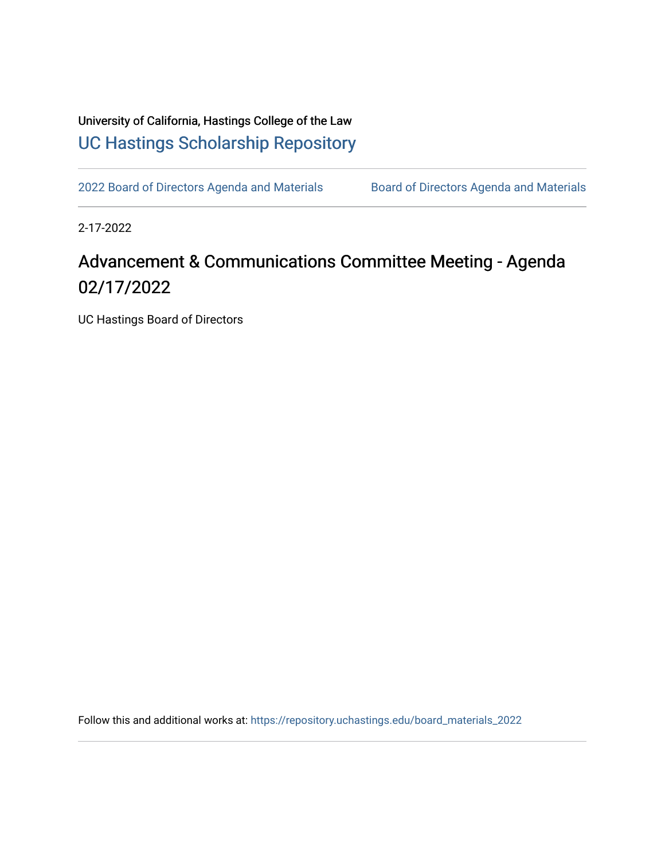University of California, Hastings College of the Law [UC Hastings Scholarship Repository](https://repository.uchastings.edu/) 

[2022 Board of Directors Agenda and Materials](https://repository.uchastings.edu/board_materials_2022) Board of Directors Agenda and Materials

2-17-2022

## Advancement & Communications Committee Meeting - Agenda 02/17/2022

UC Hastings Board of Directors

Follow this and additional works at: [https://repository.uchastings.edu/board\\_materials\\_2022](https://repository.uchastings.edu/board_materials_2022?utm_source=repository.uchastings.edu%2Fboard_materials_2022%2F12&utm_medium=PDF&utm_campaign=PDFCoverPages)